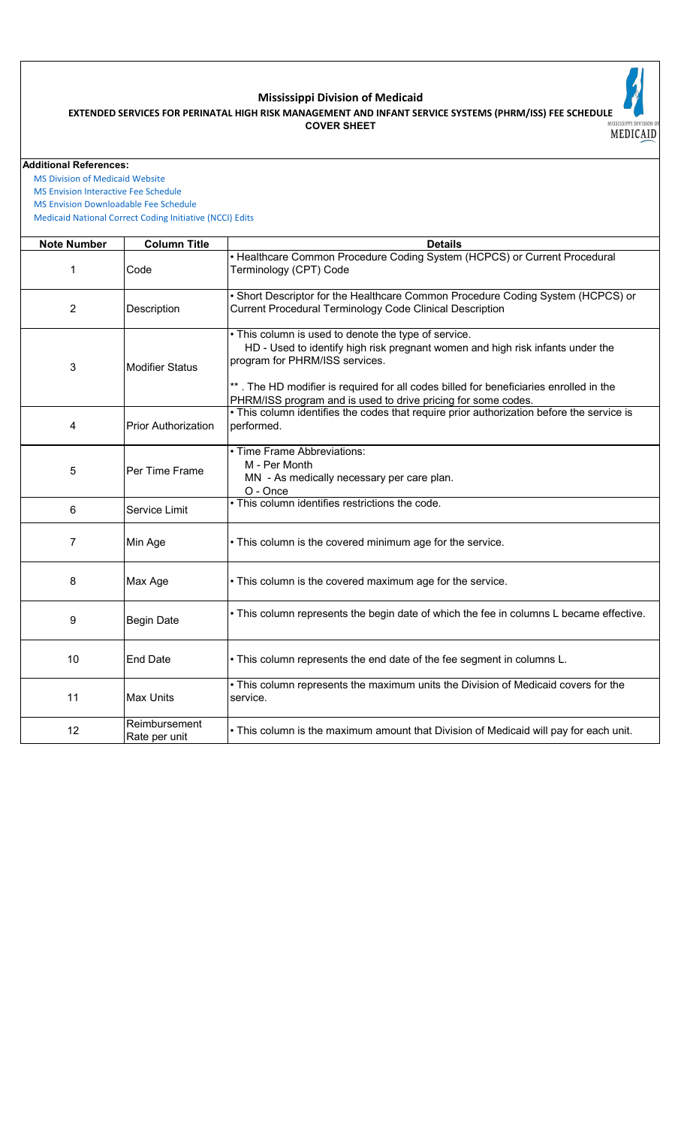

## **Mississippi Division of Medicaid**

**COVER SHEET EXTENDED SERVICES FOR PERINATAL HIGH RISK MANAGEMENT AND INFANT SERVICE SYSTEMS (PHRM/ISS) FEE SCHEDULE**

**Additional References:**

 [MS Division of Medicai](https://medicaid.ms.gov/)d Website

 [MS Envision Interactive](https://www.ms-medicaid.com/msenvision/feeScheduleInquiry.do) Fee Schedule

 [MS Envision Download](https://www.ms-medicaid.com/msenvision/AMA_ADA_licenseAgreement.do?strUrl=feeScheduleInquiry)able Fee Schedule

 [Medicaid National Corr](https://www.medicaid.gov/medicaid/program-integrity/national-correct-coding-initiative/medicaid-ncci-edit-files/index.html)ect Coding Initiative (NCCI) Edits

| <b>Note Number</b> | <b>Column Title</b>            | <b>Details</b>                                                                                                                                                                                                                                                                                                                      |
|--------------------|--------------------------------|-------------------------------------------------------------------------------------------------------------------------------------------------------------------------------------------------------------------------------------------------------------------------------------------------------------------------------------|
| 1                  | Code                           | • Healthcare Common Procedure Coding System (HCPCS) or Current Procedural<br>Terminology (CPT) Code                                                                                                                                                                                                                                 |
| $\overline{2}$     | Description                    | . Short Descriptor for the Healthcare Common Procedure Coding System (HCPCS) or<br>Current Procedural Terminology Code Clinical Description                                                                                                                                                                                         |
| 3                  | <b>Modifier Status</b>         | . This column is used to denote the type of service.<br>HD - Used to identify high risk pregnant women and high risk infants under the<br>program for PHRM/ISS services.<br>**. The HD modifier is required for all codes billed for beneficiaries enrolled in the<br>PHRM/ISS program and is used to drive pricing for some codes. |
| 4                  | <b>Prior Authorization</b>     | . This column identifies the codes that require prior authorization before the service is<br>performed.                                                                                                                                                                                                                             |
| 5                  | Per Time Frame                 | • Time Frame Abbreviations:<br>M - Per Month<br>MN - As medically necessary per care plan.<br>O - Once                                                                                                                                                                                                                              |
| 6                  | Service Limit                  | . This column identifies restrictions the code.                                                                                                                                                                                                                                                                                     |
| $\overline{7}$     | Min Age                        | • This column is the covered minimum age for the service.                                                                                                                                                                                                                                                                           |
| 8                  | Max Age                        | • This column is the covered maximum age for the service.                                                                                                                                                                                                                                                                           |
| 9                  | <b>Begin Date</b>              | • This column represents the begin date of which the fee in columns L became effective.                                                                                                                                                                                                                                             |
| 10                 | <b>End Date</b>                | . This column represents the end date of the fee segment in columns L.                                                                                                                                                                                                                                                              |
| 11                 | <b>Max Units</b>               | . This column represents the maximum units the Division of Medicaid covers for the<br>service.                                                                                                                                                                                                                                      |
| 12                 | Reimbursement<br>Rate per unit | • This column is the maximum amount that Division of Medicaid will pay for each unit.                                                                                                                                                                                                                                               |